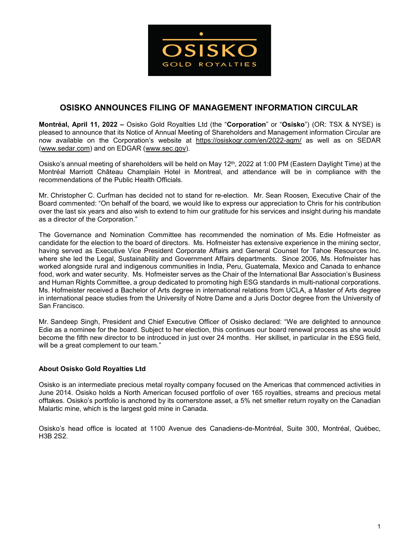

## **OSISKO ANNOUNCES FILING OF MANAGEMENT INFORMATION CIRCULAR**

**Montréal, April 11, 2022 –** Osisko Gold Royalties Ltd (the "**Corporation**" or "**Osisko**") (OR: TSX & NYSE) is pleased to announce that its Notice of Annual Meeting of Shareholders and Management information Circular are now available on the Corporation's website at <https://osiskogr.com/en/2022-agm/> as well as on SEDAR [\(www.sedar.com\)](http://www.sedar.com/) and on EDGAR [\(www.sec.gov\)](http://www.sec.gov/edgar).

Osisko's annual meeting of shareholders will be held on May 12<sup>th</sup>, 2022 at 1:00 PM (Eastern Daylight Time) at the Montréal Marriott Château Champlain Hotel in Montreal, and attendance will be in compliance with the recommendations of the Public Health Officials.

Mr. Christopher C. Curfman has decided not to stand for re-election. Mr. Sean Roosen, Executive Chair of the Board commented: "On behalf of the board, we would like to express our appreciation to Chris for his contribution over the last six years and also wish to extend to him our gratitude for his services and insight during his mandate as a director of the Corporation."

The Governance and Nomination Committee has recommended the nomination of Ms. Edie Hofmeister as candidate for the election to the board of directors. Ms. Hofmeister has extensive experience in the mining sector, having served as Executive Vice President Corporate Affairs and General Counsel for Tahoe Resources Inc. where she led the Legal, Sustainability and Government Affairs departments. Since 2006, Ms. Hofmeister has worked alongside rural and indigenous communities in India, Peru, Guatemala, Mexico and Canada to enhance food, work and water security. Ms. Hofmeister serves as the Chair of the International Bar Association's Business and Human Rights Committee, a group dedicated to promoting high ESG standards in multi-national corporations. Ms. Hofmeister received a Bachelor of Arts degree in international relations from UCLA, a Master of Arts degree in international peace studies from the University of Notre Dame and a Juris Doctor degree from the University of San Francisco.

Mr. Sandeep Singh, President and Chief Executive Officer of Osisko declared: "We are delighted to announce Edie as a nominee for the board. Subject to her election, this continues our board renewal process as she would become the fifth new director to be introduced in just over 24 months. Her skillset, in particular in the ESG field, will be a great complement to our team."

## **About Osisko Gold Royalties Ltd**

Osisko is an intermediate precious metal royalty company focused on the Americas that commenced activities in June 2014. Osisko holds a North American focused portfolio of over 165 royalties, streams and precious metal offtakes. Osisko's portfolio is anchored by its cornerstone asset, a 5% net smelter return royalty on the Canadian Malartic mine, which is the largest gold mine in Canada.

Osisko's head office is located at 1100 Avenue des Canadiens-de-Montréal, Suite 300, Montréal, Québec, H3B 2S2.